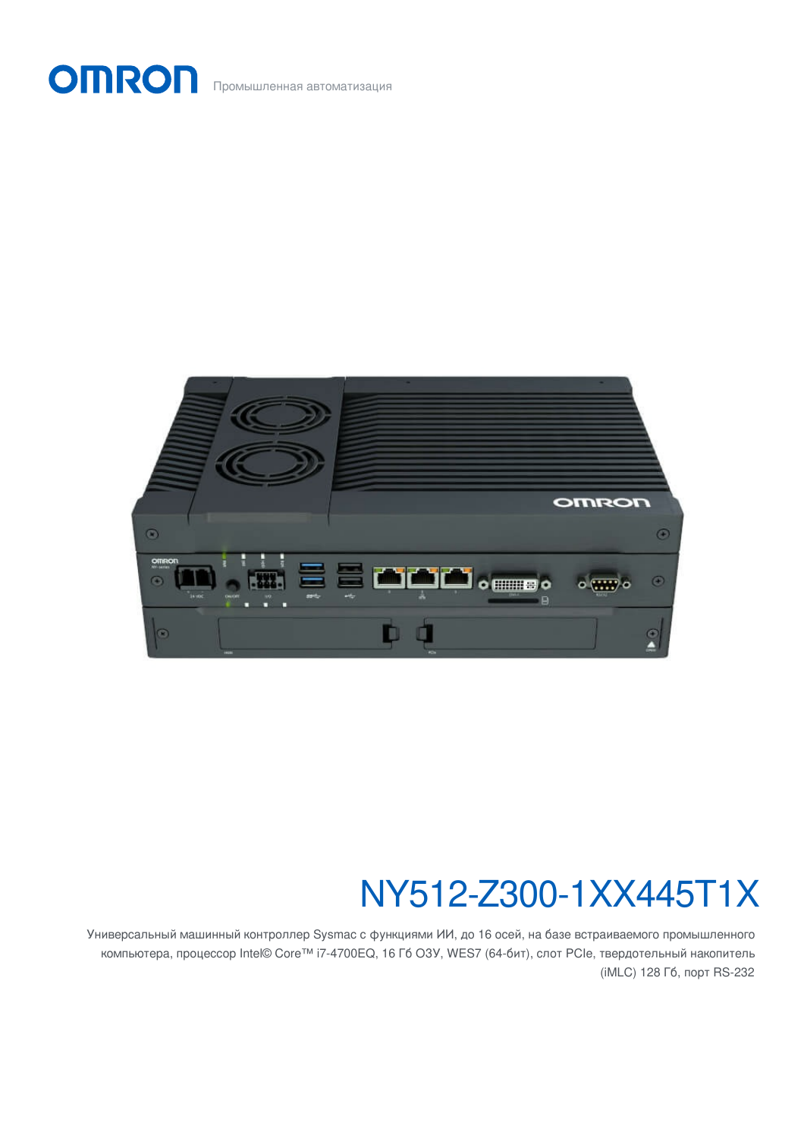Промышленная автоматизация

**OMRON** 



# NY512-Z300-1XX445T1X

Универсальный машинный контроллер Sysmac с функциями ИИ, до 16 осей, на базе встраиваемого промышленного компьютера, процессор Intel© Core™ i7-4700EQ, 16 Гб ОЗУ, WES7 (64-бит), слот PCIe, твердотельный накопитель (iMLC) 128 Гб, порт RS-232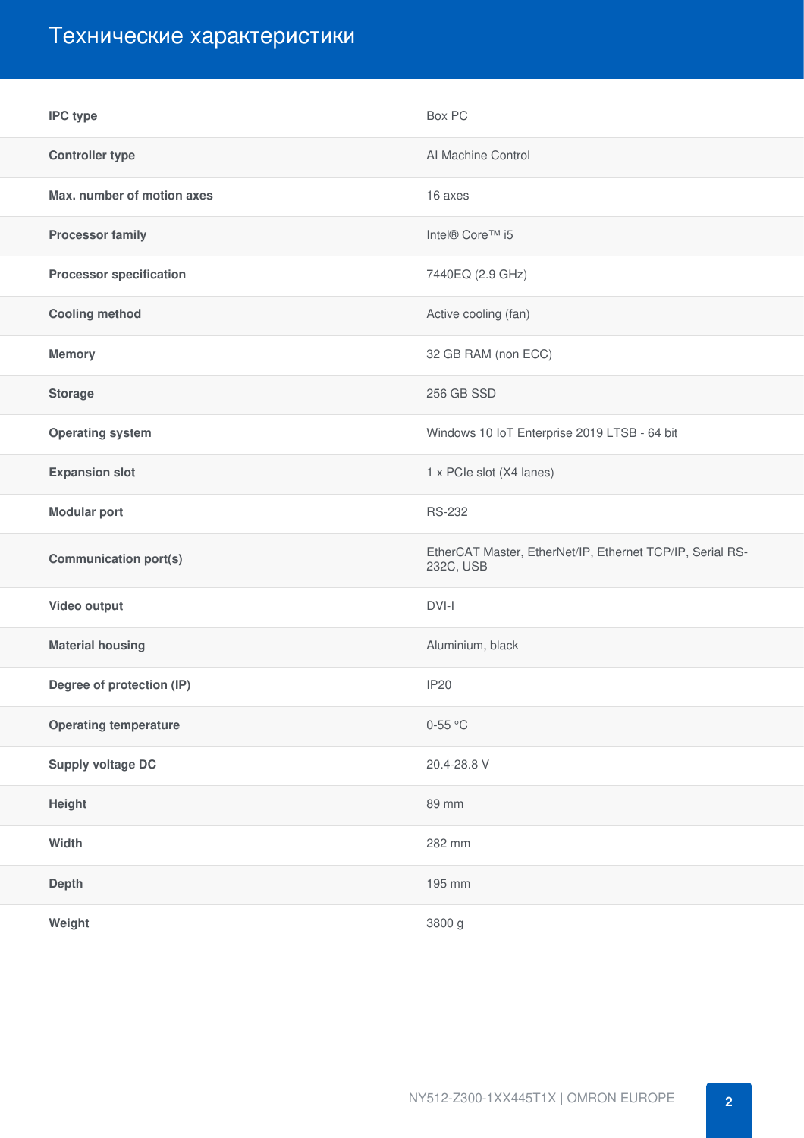# Технические характеристики

| <b>IPC type</b>                | Box PC                                                                 |
|--------------------------------|------------------------------------------------------------------------|
| <b>Controller type</b>         | Al Machine Control                                                     |
| Max. number of motion axes     | 16 axes                                                                |
| <b>Processor family</b>        | Intel® Core™ i5                                                        |
| <b>Processor specification</b> | 7440EQ (2.9 GHz)                                                       |
| <b>Cooling method</b>          | Active cooling (fan)                                                   |
| <b>Memory</b>                  | 32 GB RAM (non ECC)                                                    |
| <b>Storage</b>                 | 256 GB SSD                                                             |
| <b>Operating system</b>        | Windows 10 IoT Enterprise 2019 LTSB - 64 bit                           |
| <b>Expansion slot</b>          | 1 x PCIe slot (X4 lanes)                                               |
| <b>Modular port</b>            | <b>RS-232</b>                                                          |
|                                |                                                                        |
| <b>Communication port(s)</b>   | EtherCAT Master, EtherNet/IP, Ethernet TCP/IP, Serial RS-<br>232C, USB |
| Video output                   | DVI-I                                                                  |
| <b>Material housing</b>        | Aluminium, black                                                       |
| Degree of protection (IP)      | <b>IP20</b>                                                            |
| <b>Operating temperature</b>   | $0-55$ °C                                                              |
| <b>Supply voltage DC</b>       | 20.4-28.8 V                                                            |
| Height                         | 89 mm                                                                  |
| Width                          | 282 mm                                                                 |
| <b>Depth</b>                   | 195 mm                                                                 |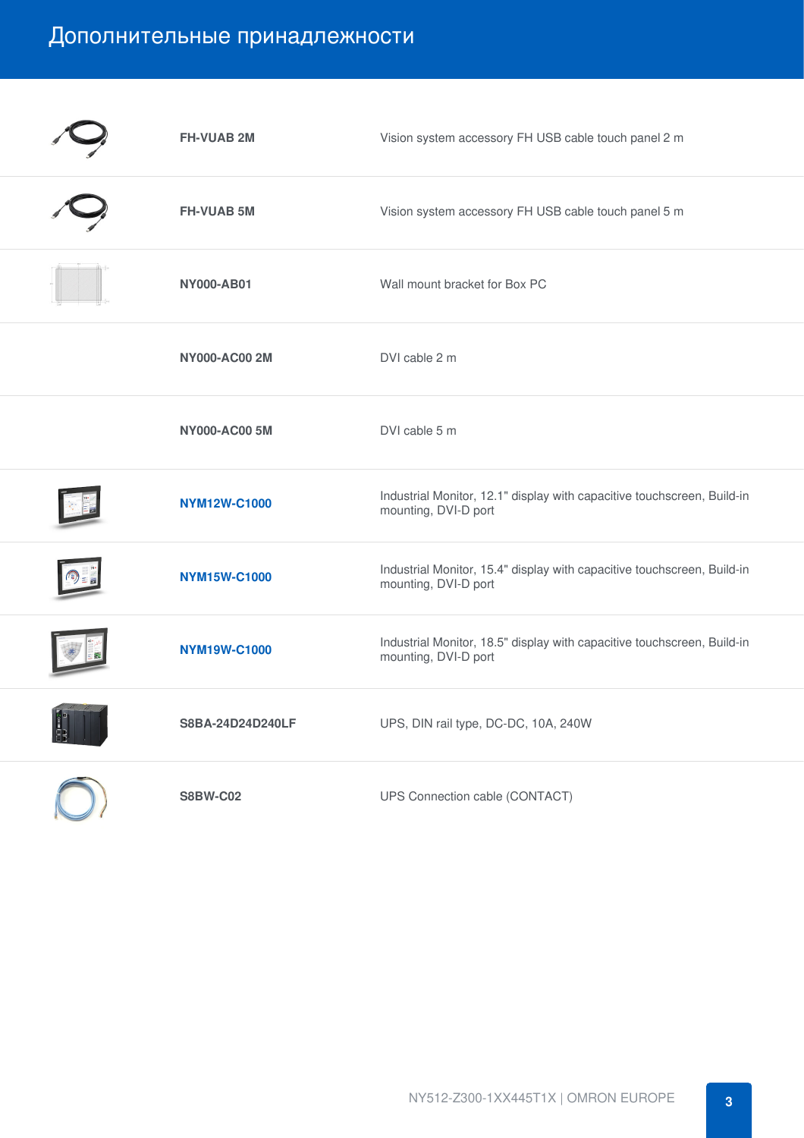## Дополнительные принадлежности

|    | <b>FH-VUAB 2M</b>    | Vision system accessory FH USB cable touch panel 2 m                                            |
|----|----------------------|-------------------------------------------------------------------------------------------------|
|    | <b>FH-VUAB 5M</b>    | Vision system accessory FH USB cable touch panel 5 m                                            |
|    | <b>NY000-AB01</b>    | Wall mount bracket for Box PC                                                                   |
|    | <b>NY000-AC00 2M</b> | DVI cable 2 m                                                                                   |
|    | <b>NY000-AC00 5M</b> | DVI cable 5 m                                                                                   |
|    | <b>NYM12W-C1000</b>  | Industrial Monitor, 12.1" display with capacitive touchscreen, Build-in<br>mounting, DVI-D port |
|    | <b>NYM15W-C1000</b>  | Industrial Monitor, 15.4" display with capacitive touchscreen, Build-in<br>mounting, DVI-D port |
|    | <b>NYM19W-C1000</b>  | Industrial Monitor, 18.5" display with capacitive touchscreen, Build-in<br>mounting, DVI-D port |
| Į, | S8BA-24D24D240LF     | UPS, DIN rail type, DC-DC, 10A, 240W                                                            |
|    | <b>S8BW-C02</b>      | UPS Connection cable (CONTACT)                                                                  |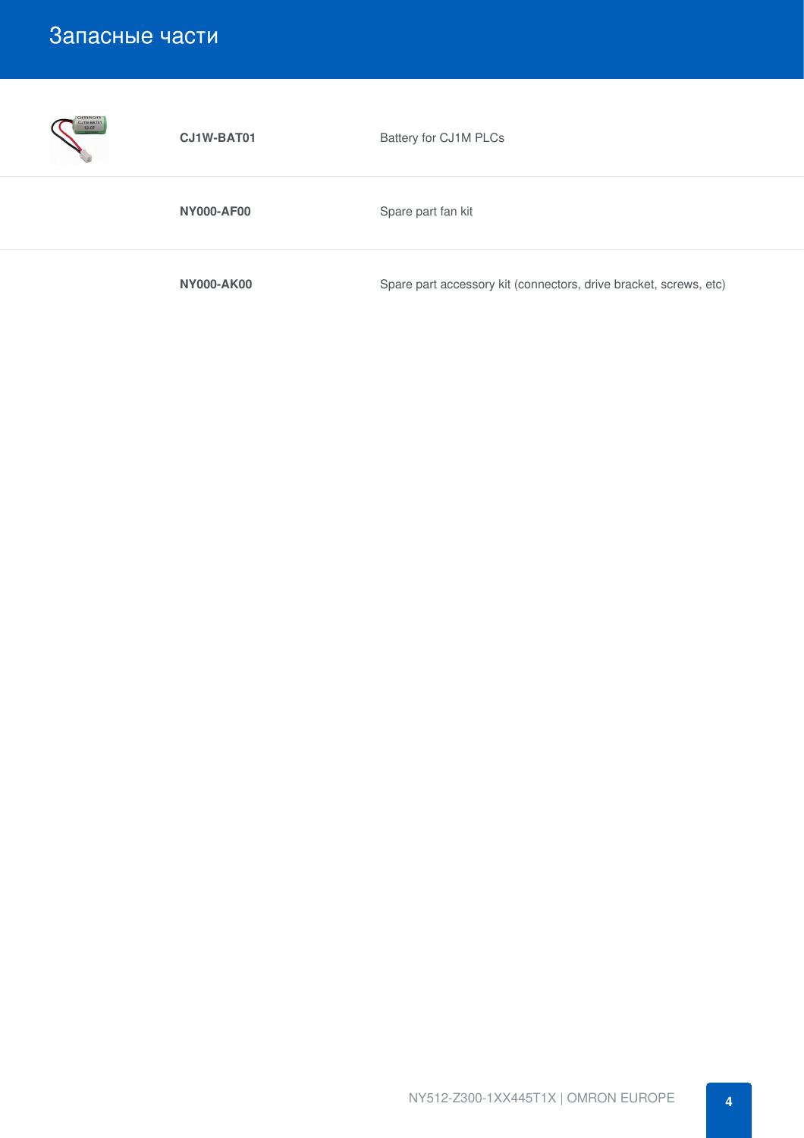### Запасные части



**CJ1W-BAT01** Battery for CJ1M PLCs

**NY000-AF00** Spare part fan kit

**NY000-AK00** Spare part accessory kit (connectors, drive bracket, screws, etc)